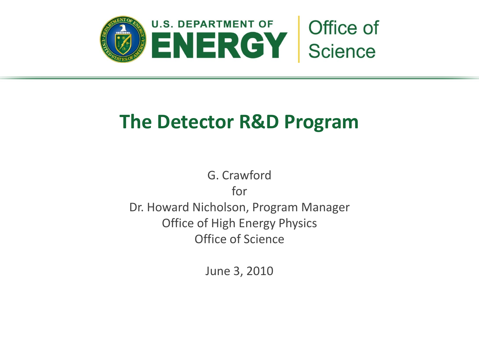

## **The Detector R&D Program**

G. Crawford for Dr. Howard Nicholson, Program Manager Office of High Energy Physics Office of Science

June 3, 2010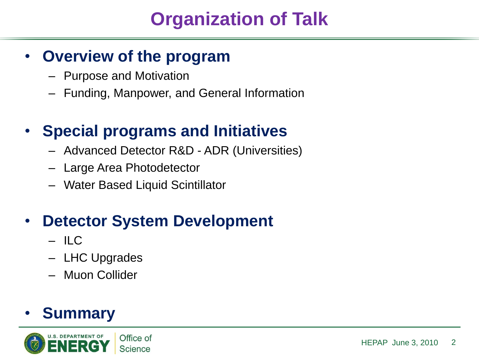## **Organization of Talk**

## • **Overview of the program**

- Purpose and Motivation
- Funding, Manpower, and General Information

## • **Special programs and Initiatives**

- Advanced Detector R&D ADR (Universities)
- Large Area Photodetector
- Water Based Liquid Scintillator

## **Detector System Development**

- ILC
- LHC Upgrades
- Muon Collider

## • **Summary**

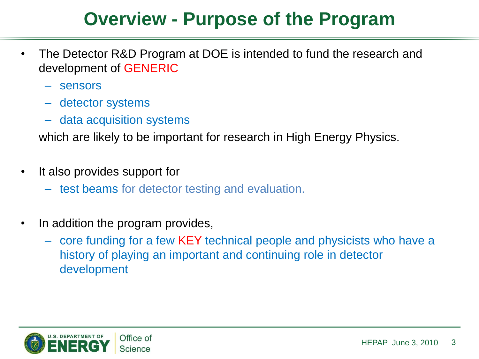## **Overview - Purpose of the Program**

- The Detector R&D Program at DOE is intended to fund the research and development of GENERIC
	- sensors
	- detector systems
	- data acquisition systems

which are likely to be important for research in High Energy Physics.

- It also provides support for
	- test beams for detector testing and evaluation.
- In addition the program provides,
	- core funding for a few KEY technical people and physicists who have a history of playing an important and continuing role in detector development

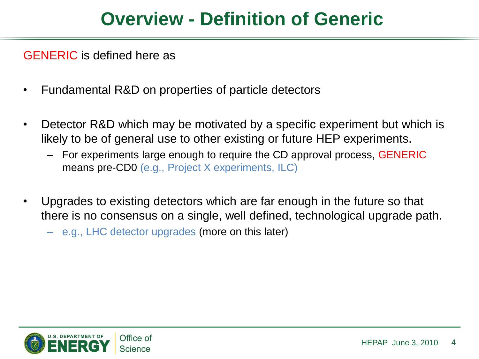## **Overview - Definition of Generic**

GENERIC is defined here as

- Fundamental R&D on properties of particle detectors
- Detector R&D which may be motivated by a specific experiment but which is likely to be of general use to other existing or future HEP experiments.
	- For experiments large enough to require the CD approval process, GENERIC means pre-CD0 (e.g., Project X experiments, ILC)
- Upgrades to existing detectors which are far enough in the future so that there is no consensus on a single, well defined, technological upgrade path.
	- e.g., LHC detector upgrades (more on this later)

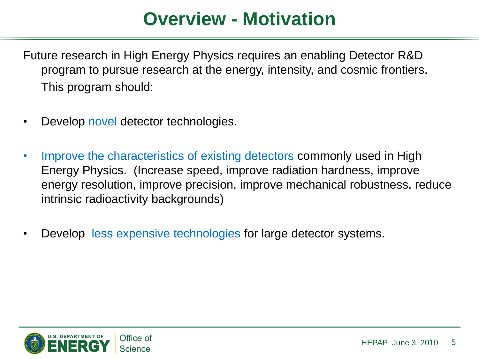## **Overview - Motivation**

Future research in High Energy Physics requires an enabling Detector R&D program to pursue research at the energy, intensity, and cosmic frontiers. This program should:

- Develop novel detector technologies.
- Improve the characteristics of existing detectors commonly used in High Energy Physics. (Increase speed, improve radiation hardness, improve energy resolution, improve precision, improve mechanical robustness, reduce intrinsic radioactivity backgrounds)
- Develop less expensive technologies for large detector systems.

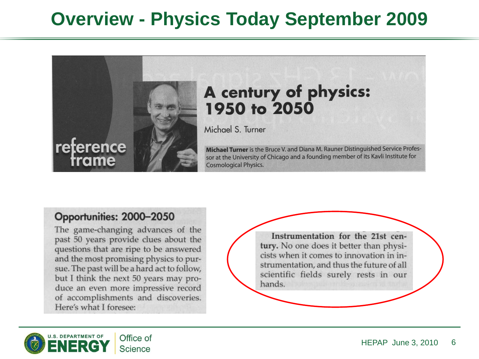## **Overview - Physics Today September 2009**



### A century of physics: 1950 to 2050

Michael S. Turner

Michael Turner is the Bruce V. and Diana M. Rauner Distinguished Service Professor at the University of Chicago and a founding member of its Kavli Institute for **Cosmological Physics.** 

#### Opportunities: 2000-2050

The game-changing advances of the past 50 years provide clues about the questions that are ripe to be answered and the most promising physics to pursue. The past will be a hard act to follow, but I think the next 50 years may produce an even more impressive record of accomplishments and discoveries. Here's what I foresee:

Instrumentation for the 21st century. No one does it better than physicists when it comes to innovation in instrumentation, and thus the future of all scientific fields surely rests in our hands.

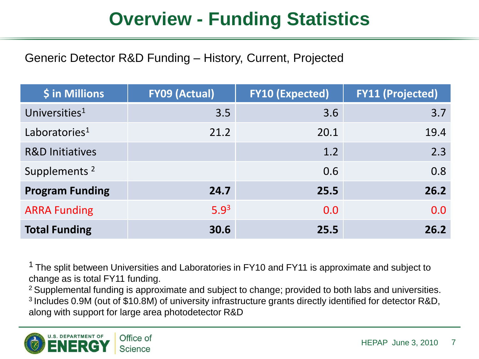## **Overview - Funding Statistics**

Generic Detector R&D Funding – History, Current, Projected

| \$ in Millions             | <b>FY09 (Actual)</b> | <b>FY10 (Expected)</b> | <b>FY11 (Projected)</b> |
|----------------------------|----------------------|------------------------|-------------------------|
| Universities <sup>1</sup>  | 3.5                  | 3.6                    | 3.7                     |
| Laboratories <sup>1</sup>  | 21.2                 | 20.1                   | 19.4                    |
| <b>R&amp;D Initiatives</b> |                      | 1.2                    | 2.3                     |
| Supplements <sup>2</sup>   |                      | 0.6                    | 0.8                     |
| <b>Program Funding</b>     | 24.7                 | 25.5                   | 26.2                    |
| <b>ARRA Funding</b>        | 5.9 <sup>3</sup>     | 0.0                    | 0.0                     |
| <b>Total Funding</b>       | 30.6                 | 25.5                   | 26.2                    |

<sup>1</sup> The split between Universities and Laboratories in FY10 and FY11 is approximate and subject to change as is total FY11 funding.

 $2$  Supplemental funding is approximate and subject to change; provided to both labs and universities. <sup>3</sup> Includes 0.9M (out of \$10.8M) of university infrastructure grants directly identified for detector R&D, along with support for large area photodetector R&D

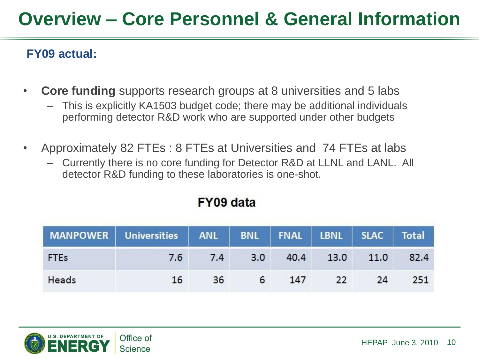## **Overview – Core Personnel & General Information**

#### **FY09 actual:**

- **Core funding** supports research groups at 8 universities and 5 labs
	- This is explicitly KA1503 budget code; there may be additional individuals performing detector R&D work who are supported under other budgets
- Approximately 82 FTEs : 8 FTEs at Universities and 74 FTEs at labs
	- Currently there is no core funding for Detector R&D at LLNL and LANL. All detector R&D funding to these laboratories is one-shot.

|             | MANPOWER Universities ANL BNL FNAL LBNL SLAC Total |     |     |      |      |      |      |
|-------------|----------------------------------------------------|-----|-----|------|------|------|------|
| <b>FTEs</b> | 7.6                                                | 7.4 | 3.0 | 40.4 | 13.0 | 11.0 | 82.4 |
| Heads       | 16                                                 | 36  | 6   | 147  | 22   | 24   | 251  |

#### **FY09 data**

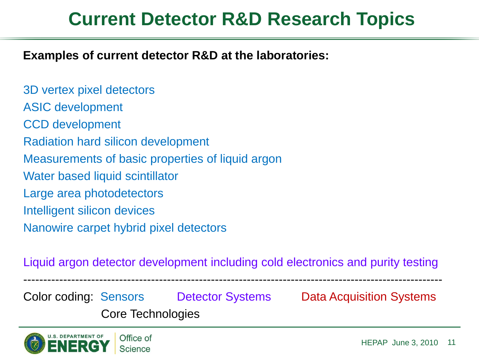## **Current Detector R&D Research Topics**

**Examples of current detector R&D at the laboratories:**

3D vertex pixel detectors ASIC development CCD development Radiation hard silicon development Measurements of basic properties of liquid argon Water based liquid scintillator Large area photodetectors Intelligent silicon devices Nanowire carpet hybrid pixel detectors

Liquid argon detector development including cold electronics and purity testing

---------------------------------------------------------------------------------------------------------

Color coding: Sensors Detector Systems Data Acquisition Systems Core Technologies

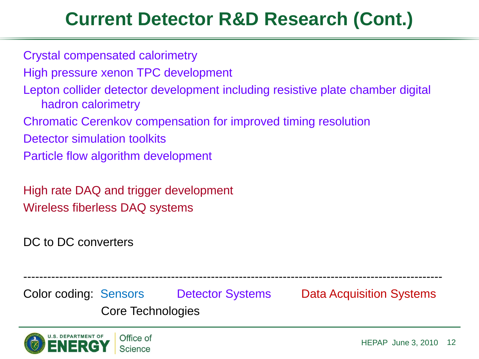## **Current Detector R&D Research (Cont.)**

Crystal compensated calorimetry

High pressure xenon TPC development

Lepton collider detector development including resistive plate chamber digital hadron calorimetry

Chromatic Cerenkov compensation for improved timing resolution

Detector simulation toolkits

Particle flow algorithm development

High rate DAQ and trigger development Wireless fiberless DAQ systems

DC to DC converters

Color coding: Sensors Detector Systems Data Acquisition Systems Core Technologies

---------------------------------------------------------------------------------------------------------

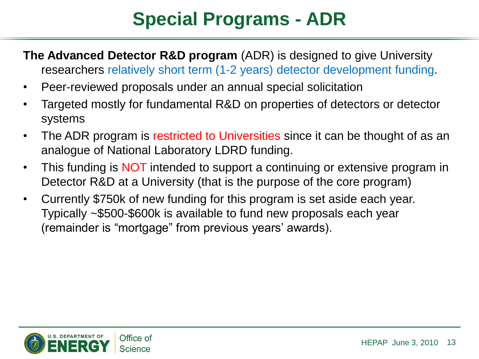# **Special Programs - ADR**

- **The Advanced Detector R&D program** (ADR) is designed to give University researchers relatively short term (1-2 years) detector development funding.
- Peer-reviewed proposals under an annual special solicitation
- Targeted mostly for fundamental R&D on properties of detectors or detector systems
- The ADR program is restricted to Universities since it can be thought of as an analogue of National Laboratory LDRD funding.
- This funding is NOT intended to support a continuing or extensive program in Detector R&D at a University (that is the purpose of the core program)
- Currently \$750k of new funding for this program is set aside each year. Typically ~\$500-\$600k is available to fund new proposals each year (remainder is "mortgage" from previous years' awards).

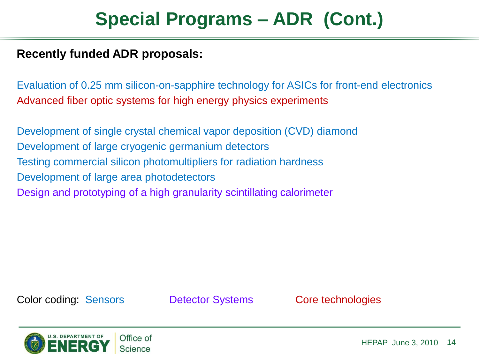## **Special Programs – ADR (Cont.)**

#### **Recently funded ADR proposals:**

Evaluation of 0.25 mm silicon-on-sapphire technology for ASICs for front-end electronics Advanced fiber optic systems for high energy physics experiments

Development of single crystal chemical vapor deposition (CVD) diamond Development of large cryogenic germanium detectors Testing commercial silicon photomultipliers for radiation hardness Development of large area photodetectors Design and prototyping of a high granularity scintillating calorimeter

Color coding: Sensors Detector Systems Core technologies

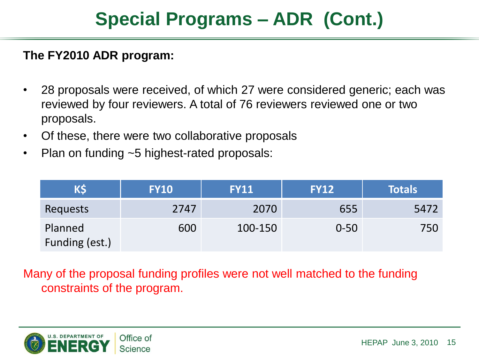## **Special Programs – ADR (Cont.)**

#### **The FY2010 ADR program:**

- 28 proposals were received, of which 27 were considered generic; each was reviewed by four reviewers. A total of 76 reviewers reviewed one or two proposals.
- Of these, there were two collaborative proposals
- Plan on funding ~5 highest-rated proposals:

| K\$                       | <b>FY10</b> | <b>FY11</b> | <b>FY12</b> | <b>Totals</b> |
|---------------------------|-------------|-------------|-------------|---------------|
| Requests                  | 2747        | 2070        | 655         | 5472          |
| Planned<br>Funding (est.) | 600         | 100-150     | $0 - 50$    | 750           |

Many of the proposal funding profiles were not well matched to the funding constraints of the program.

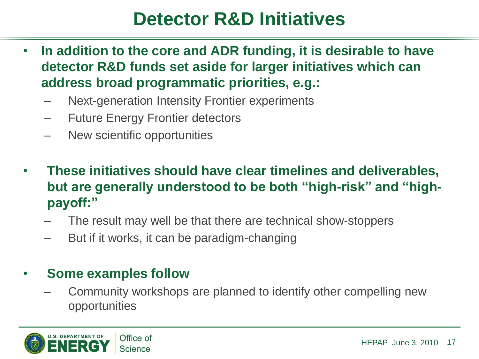## **Detector R&D Initiatives**

- **In addition to the core and ADR funding, it is desirable to have detector R&D funds set aside for larger initiatives which can address broad programmatic priorities, e.g.:**
	- Next-generation Intensity Frontier experiments
	- Future Energy Frontier detectors
	- New scientific opportunities
- **These initiatives should have clear timelines and deliverables, but are generally understood to be both "high-risk" and "highpayoff:"** 
	- The result may well be that there are technical show-stoppers
	- But if it works, it can be paradigm-changing

#### • **Some examples follow**

– Community workshops are planned to identify other compelling new opportunities

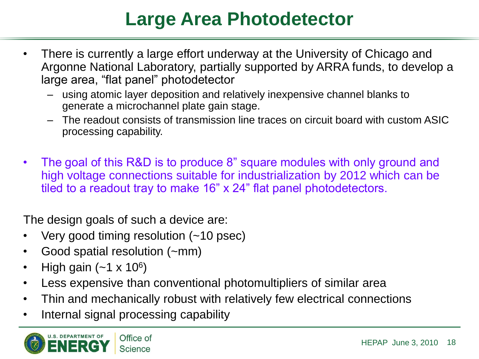## **Large Area Photodetector**

- There is currently a large effort underway at the University of Chicago and Argonne National Laboratory, partially supported by ARRA funds, to develop a large area, "flat panel" photodetector
	- using atomic layer deposition and relatively inexpensive channel blanks to generate a microchannel plate gain stage.
	- The readout consists of transmission line traces on circuit board with custom ASIC processing capability.
- The goal of this R&D is to produce 8" square modules with only ground and high voltage connections suitable for industrialization by 2012 which can be tiled to a readout tray to make 16" x 24" flat panel photodetectors.

The design goals of such a device are:

- Very good timing resolution (~10 psec)
- Good spatial resolution (~mm)
- High gain  $(-1 \times 10^6)$
- Less expensive than conventional photomultipliers of similar area
- Thin and mechanically robust with relatively few electrical connections
- Internal signal processing capability

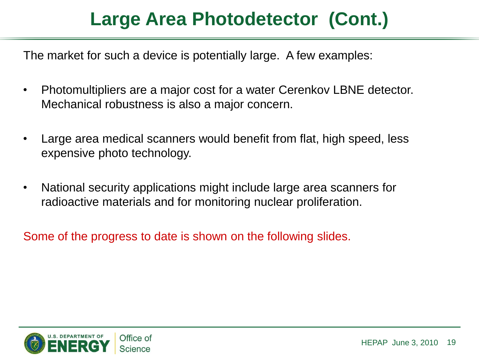The market for such a device is potentially large. A few examples:

- Photomultipliers are a major cost for a water Cerenkov LBNE detector. Mechanical robustness is also a major concern.
- Large area medical scanners would benefit from flat, high speed, less expensive photo technology.
- National security applications might include large area scanners for radioactive materials and for monitoring nuclear proliferation.

Some of the progress to date is shown on the following slides.

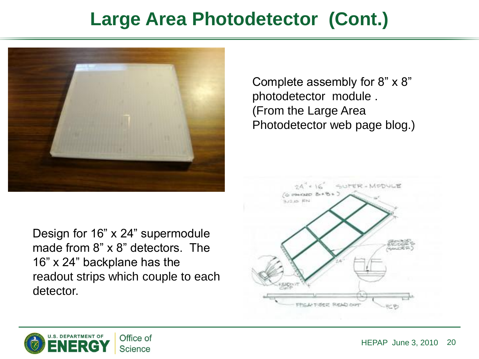

Design for 16" x 24" supermodule made from 8" x 8" detectors. The 16" x 24" backplane has the readout strips which couple to each detector.

Complete assembly for 8" x 8" photodetector module . (From the Large Area Photodetector web page blog.)



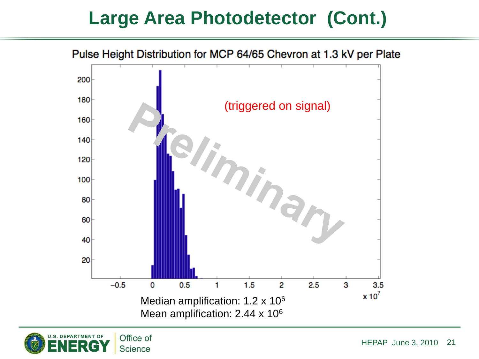

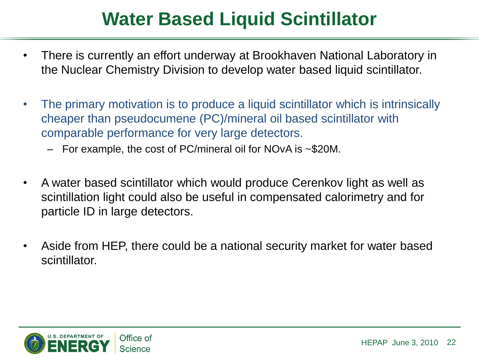## **Water Based Liquid Scintillator**

- There is currently an effort underway at Brookhaven National Laboratory in the Nuclear Chemistry Division to develop water based liquid scintillator.
- The primary motivation is to produce a liquid scintillator which is intrinsically cheaper than pseudocumene (PC)/mineral oil based scintillator with comparable performance for very large detectors.
	- For example, the cost of PC/mineral oil for NOvA is ~\$20M.
- A water based scintillator which would produce Cerenkov light as well as scintillation light could also be useful in compensated calorimetry and for particle ID in large detectors.
- Aside from HEP, there could be a national security market for water based scintillator.

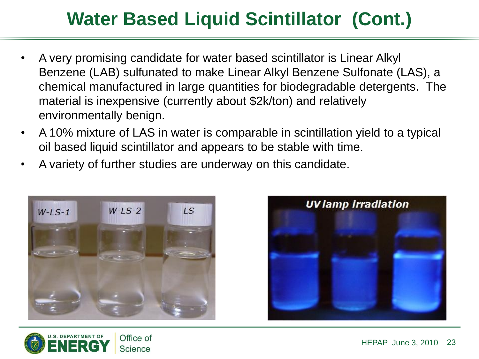# **Water Based Liquid Scintillator (Cont.)**

- A very promising candidate for water based scintillator is Linear Alkyl Benzene (LAB) sulfunated to make Linear Alkyl Benzene Sulfonate (LAS), a chemical manufactured in large quantities for biodegradable detergents. The material is inexpensive (currently about \$2k/ton) and relatively environmentally benign.
- A 10% mixture of LAS in water is comparable in scintillation yield to a typical oil based liquid scintillator and appears to be stable with time.
- A variety of further studies are underway on this candidate.





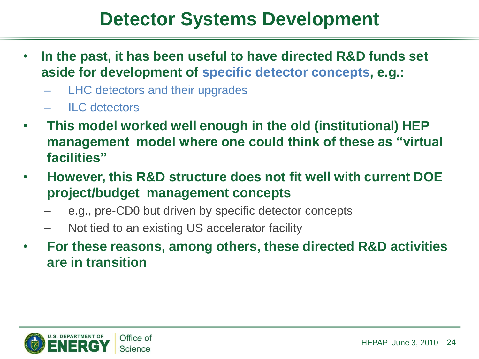## **Detector Systems Development**

- **In the past, it has been useful to have directed R&D funds set aside for development of specific detector concepts, e.g.:**
	- LHC detectors and their upgrades
	- ILC detectors
- **This model worked well enough in the old (institutional) HEP management model where one could think of these as "virtual facilities"**
- **However, this R&D structure does not fit well with current DOE project/budget management concepts** 
	- e.g., pre-CD0 but driven by specific detector concepts
	- Not tied to an existing US accelerator facility
- **For these reasons, among others, these directed R&D activities are in transition**

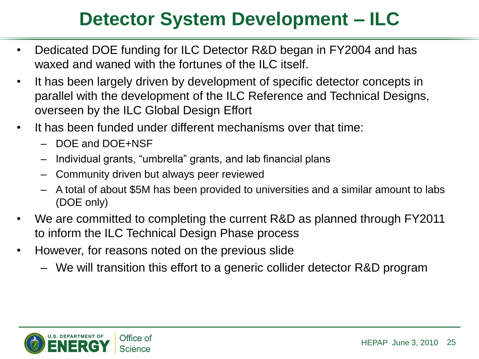## **Detector System Development – ILC**

- Dedicated DOE funding for ILC Detector R&D began in FY2004 and has waxed and waned with the fortunes of the ILC itself.
- It has been largely driven by development of specific detector concepts in parallel with the development of the ILC Reference and Technical Designs, overseen by the ILC Global Design Effort
- It has been funded under different mechanisms over that time:
	- DOE and DOE+NSF
	- Individual grants, "umbrella" grants, and lab financial plans
	- Community driven but always peer reviewed
	- A total of about \$5M has been provided to universities and a similar amount to labs (DOE only)
- We are committed to completing the current R&D as planned through FY2011 to inform the ILC Technical Design Phase process
- However, for reasons noted on the previous slide
	- We will transition this effort to a generic collider detector R&D program

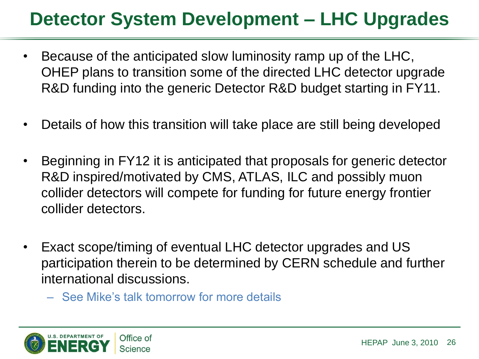## **Detector System Development – LHC Upgrades**

- Because of the anticipated slow luminosity ramp up of the LHC, OHEP plans to transition some of the directed LHC detector upgrade R&D funding into the generic Detector R&D budget starting in FY11.
- Details of how this transition will take place are still being developed
- Beginning in FY12 it is anticipated that proposals for generic detector R&D inspired/motivated by CMS, ATLAS, ILC and possibly muon collider detectors will compete for funding for future energy frontier collider detectors.
- Exact scope/timing of eventual LHC detector upgrades and US participation therein to be determined by CERN schedule and further international discussions.
	- See Mike's talk tomorrow for more details

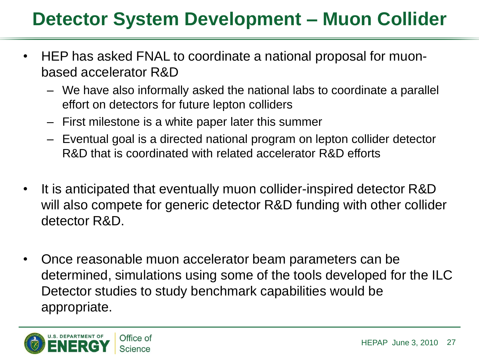## **Detector System Development – Muon Collider**

- HEP has asked FNAL to coordinate a national proposal for muonbased accelerator R&D
	- We have also informally asked the national labs to coordinate a parallel effort on detectors for future lepton colliders
	- First milestone is a white paper later this summer
	- Eventual goal is a directed national program on lepton collider detector R&D that is coordinated with related accelerator R&D efforts
- It is anticipated that eventually muon collider-inspired detector R&D will also compete for generic detector R&D funding with other collider detector R&D.
- Once reasonable muon accelerator beam parameters can be determined, simulations using some of the tools developed for the ILC Detector studies to study benchmark capabilities would be appropriate.

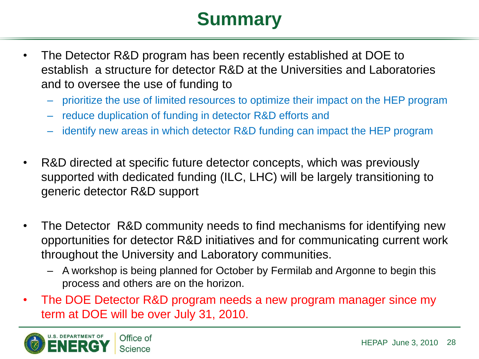## **Summary**

- The Detector R&D program has been recently established at DOE to establish a structure for detector R&D at the Universities and Laboratories and to oversee the use of funding to
	- prioritize the use of limited resources to optimize their impact on the HEP program
	- reduce duplication of funding in detector R&D efforts and
	- identify new areas in which detector R&D funding can impact the HEP program
- R&D directed at specific future detector concepts, which was previously supported with dedicated funding (ILC, LHC) will be largely transitioning to generic detector R&D support
- The Detector R&D community needs to find mechanisms for identifying new opportunities for detector R&D initiatives and for communicating current work throughout the University and Laboratory communities.
	- A workshop is being planned for October by Fermilab and Argonne to begin this process and others are on the horizon.
- The DOE Detector R&D program needs a new program manager since my term at DOE will be over July 31, 2010.

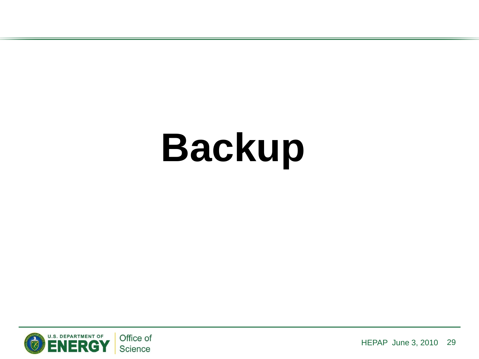# **Backup**

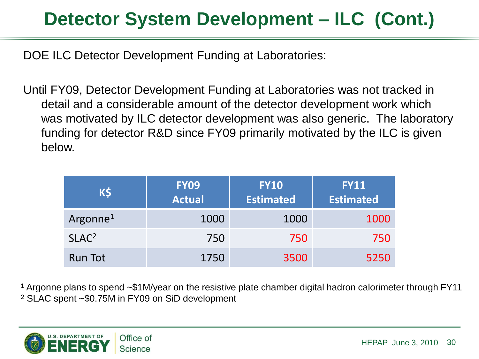# **Detector System Development – ILC (Cont.)**

DOE ILC Detector Development Funding at Laboratories:

Until FY09, Detector Development Funding at Laboratories was not tracked in detail and a considerable amount of the detector development work which was motivated by ILC detector development was also generic. The laboratory funding for detector R&D since FY09 primarily motivated by the ILC is given below.

| K\$                  | <b>FY09</b><br><b>Actual</b> | <b>FY10</b><br><b>Estimated</b> | <b>FY11</b><br><b>Estimated</b> |
|----------------------|------------------------------|---------------------------------|---------------------------------|
| Argonne <sup>1</sup> | 1000                         | 1000                            | 1000                            |
| SLAC <sup>2</sup>    | 750                          | 750                             | 750                             |
| Run Tot              | 1750                         | 3500                            | 5250                            |

<sup>1</sup> Argonne plans to spend ~\$1M/year on the resistive plate chamber digital hadron calorimeter through FY11 <sup>2</sup> SLAC spent ~\$0.75M in FY09 on SiD development

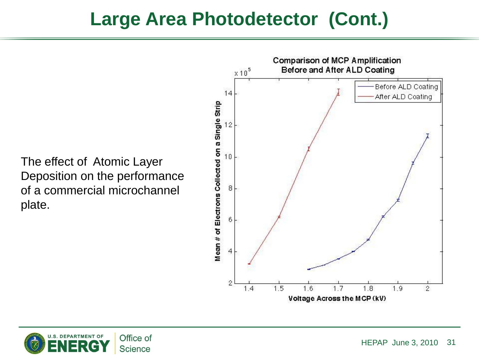Before and After ALD Coating  $x10<sup>5</sup>$ Before ALD Coating 14 After ALD Coating Mean # of Electrons Collected on a Single Strip 12  $10$ The effect of Atomic Layer Deposition on the performance of a commercial microchannel 8 plate.6 4  $\hat{z}$ 1.5 1.6  $1.7$ 1.8 1.9  $1.4$  $\overline{2}$ 

Voltage Across the MCP (kV)

**Comparison of MCP Amplification** 

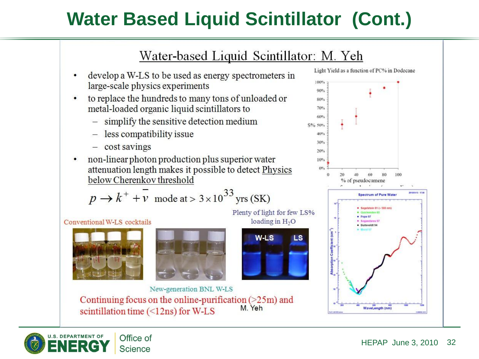# **Water Based Liquid Scintillator (Cont.)**

#### Water-based Liquid Scintillator: M. Yeh

- develop a W-LS to be used as energy spectrometers in  $\bullet$ large-scale physics experiments
- to replace the hundreds to many tons of unloaded or  $\bullet$ metal-loaded organic liquid scintillators to
	- $-$  simplify the sensitive detection medium
	- less compatibility issue
	- $-$  cost savings
- non-linear photon production plus superior water  $\bullet$ attenuation length makes it possible to detect Physics below Cherenkov threshold

$$
p \rightarrow k^+ + \overline{v}
$$
 mode at > 3×10<sup>33</sup> yrs (SK)

Conventional W-LS cocktails







New-generation BNL W-LS Continuing focus on the online-purification  $($ >25m) and M. Yeh scintillation time  $(\leq 12ns)$  for W-LS



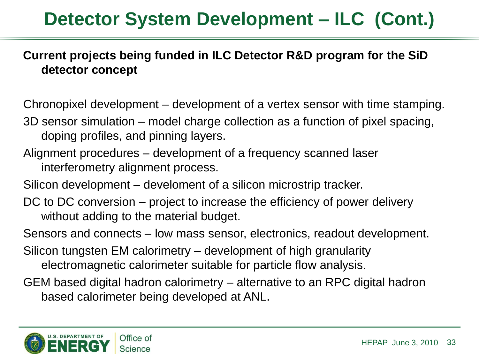# **Detector System Development – ILC (Cont.)**

#### **Current projects being funded in ILC Detector R&D program for the SiD detector concept**

Chronopixel development – development of a vertex sensor with time stamping.

- 3D sensor simulation model charge collection as a function of pixel spacing, doping profiles, and pinning layers.
- Alignment procedures development of a frequency scanned laser interferometry alignment process.
- Silicon development develoment of a silicon microstrip tracker.
- DC to DC conversion project to increase the efficiency of power delivery without adding to the material budget.
- Sensors and connects low mass sensor, electronics, readout development.
- Silicon tungsten EM calorimetry development of high granularity electromagnetic calorimeter suitable for particle flow analysis.
- GEM based digital hadron calorimetry alternative to an RPC digital hadron based calorimeter being developed at ANL.